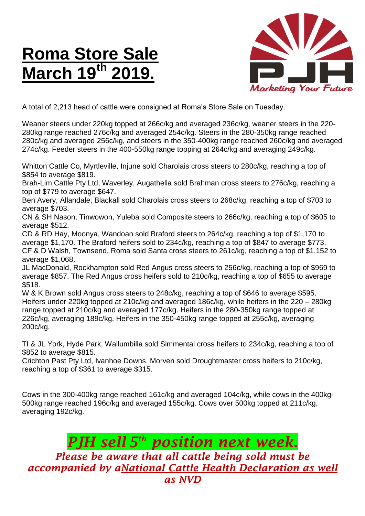## **Roma Store Sale March 19<sup>th</sup>**



A total of 2,213 head of cattle were consigned at Roma's Store Sale on Tuesday.

Weaner steers under 220kg topped at 266c/kg and averaged 236c/kg, weaner steers in the 220- 280kg range reached 276c/kg and averaged 254c/kg. Steers in the 280-350kg range reached 280c/kg and averaged 256c/kg, and steers in the 350-400kg range reached 260c/kg and averaged 274c/kg. Feeder steers in the 400-550kg range topping at 264c/kg and averaging 249c/kg.

Whitton Cattle Co, Myrtleville, Injune sold Charolais cross steers to 280c/kg, reaching a top of \$854 to average \$819.

Brah-Lim Cattle Pty Ltd, Waverley, Augathella sold Brahman cross steers to 276c/kg, reaching a top of \$779 to average \$647.

Ben Avery, Allandale, Blackall sold Charolais cross steers to 268c/kg, reaching a top of \$703 to average \$703.

CN & SH Nason, Tinwowon, Yuleba sold Composite steers to 266c/kg, reaching a top of \$605 to average \$512.

CD & RD Hay, Moonya, Wandoan sold Braford steers to 264c/kg, reaching a top of \$1,170 to average \$1,170. The Braford heifers sold to 234c/kg, reaching a top of \$847 to average \$773. CF & D Walsh, Townsend, Roma sold Santa cross steers to 261c/kg, reaching a top of \$1,152 to average \$1,068.

JL MacDonald, Rockhampton sold Red Angus cross steers to 256c/kg, reaching a top of \$969 to average \$857. The Red Angus cross heifers sold to 210c/kg, reaching a top of \$655 to average \$518.

W & K Brown sold Angus cross steers to 248c/kg, reaching a top of \$646 to average \$595. Heifers under 220kg topped at 210c/kg and averaged 186c/kg, while heifers in the 220 – 280kg range topped at 210c/kg and averaged 177c/kg. Heifers in the 280-350kg range topped at 226c/kg, averaging 189c/kg. Heifers in the 350-450kg range topped at 255c/kg, averaging 200c/kg.

TI & JL York, Hyde Park, Wallumbilla sold Simmental cross heifers to 234c/kg, reaching a top of \$852 to average \$815.

Crichton Past Pty Ltd, Ivanhoe Downs, Morven sold Droughtmaster cross heifers to 210c/kg, reaching a top of \$361 to average \$315.

Cows in the 300-400kg range reached 161c/kg and averaged 104c/kg, while cows in the 400kg-500kg range reached 196c/kg and averaged 155c/kg. Cows over 500kg topped at 211c/kg, averaging 192c/kg.

## *PJH sell 5 th position next week.*

*Please be aware that all cattle being sold must be accompanied by aNational Cattle Health Declaration as well as NVD*